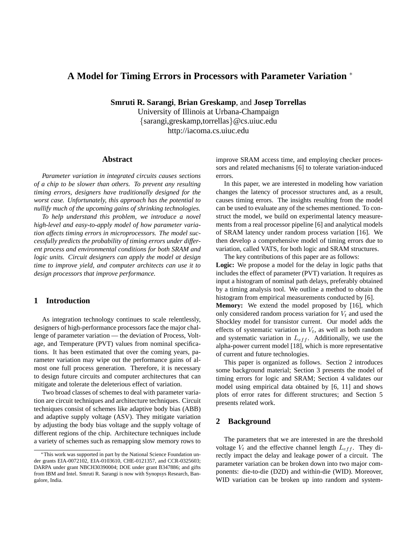# **A Model for Timing Errors in Processors with Parameter Variation** <sup>∗</sup>

**Smruti R. Sarangi**, **Brian Greskamp**, and **Josep Torrellas**

University of Illinois at Urbana-Champaign {sarangi,greskamp,torrellas}@cs.uiuc.edu http://iacoma.cs.uiuc.edu

## **Abstract**

*Parameter variation in integrated circuits causes sections of a chip to be slower than others. To prevent any resulting timing errors, designers have traditionally designed for the worst case. Unfortunately, this approach has the potential to nullify much of the upcoming gains of shrinking technologies.*

*To help understand this problem, we introduce a novel high-level and easy-to-apply model of how parameter variation affects timing errors in microprocessors. The model successfully predicts the probability of timing errors under different process and environmental conditions for both SRAM and logic units. Circuit designers can apply the model at design time to improve yield, and computer architects can use it to design processors that improve performance.*

## **1 Introduction**

As integration technology continues to scale relentlessly, designers of high-performance processors face the major challenge of parameter variation — the deviation of Process, Voltage, and Temperature (PVT) values from nominal specifications. It has been estimated that over the coming years, parameter variation may wipe out the performance gains of almost one full process generation. Therefore, it is necessary to design future circuits and computer architectures that can mitigate and tolerate the deleterious effect of variation.

Two broad classes of schemes to deal with parameter variation are circuit techniques and architecture techniques. Circuit techniques consist of schemes like adaptive body bias (ABB) and adaptive supply voltage (ASV). They mitigate variation by adjusting the body bias voltage and the supply voltage of different regions of the chip. Architecture techniques include a variety of schemes such as remapping slow memory rows to improve SRAM access time, and employing checker processors and related mechanisms [6] to tolerate variation-induced errors.

In this paper, we are interested in modeling how variation changes the latency of processor structures and, as a result, causes timing errors. The insights resulting from the model can be used to evaluate any of the schemes mentioned. To construct the model, we build on experimental latency measurements from a real processor pipeline [6] and analytical models of SRAM latency under random process variation [16]. We then develop a comprehensive model of timing errors due to variation, called VATS, for both logic and SRAM structures.

The key contributions of this paper are as follows: **Logic:** We propose a model for the delay in logic paths that includes the effect of parameter (PVT) variation. It requires as input a histogram of nominal path delays, preferably obtained by a timing analysis tool. We outline a method to obtain the histogram from empirical measurements conducted by [6].

**Memory:** We extend the model proposed by [16], which only considered random process variation for  $V_t$  and used the Shockley model for transistor current. Our model adds the effects of systematic variation in  $V_t$ , as well as both random and systematic variation in  $L_{eff}$ . Additionally, we use the alpha-power current model [18], which is more representative of current and future technologies.

This paper is organized as follows. Section 2 introduces some background material; Section 3 presents the model of timing errors for logic and SRAM; Section 4 validates our model using empirical data obtained by [6, 11] and shows plots of error rates for different structures; and Section 5 presents related work.

# **2 Background**

The parameters that we are interested in are the threshold voltage  $V_t$  and the effective channel length  $L_{eff}$ . They directly impact the delay and leakage power of a circuit. The parameter variation can be broken down into two major components: die-to-die (D2D) and within-die (WID). Moreover, WID variation can be broken up into random and system-

<sup>∗</sup>This work was supported in part by the National Science Foundation under grants EIA-0072102, EIA-0103610, CHE-0121357, and CCR-0325603; DARPA under grant NBCH30390004; DOE under grant B347886; and gifts from IBM and Intel. Smruti R. Sarangi is now with Synopsys Research, Bangalore, India.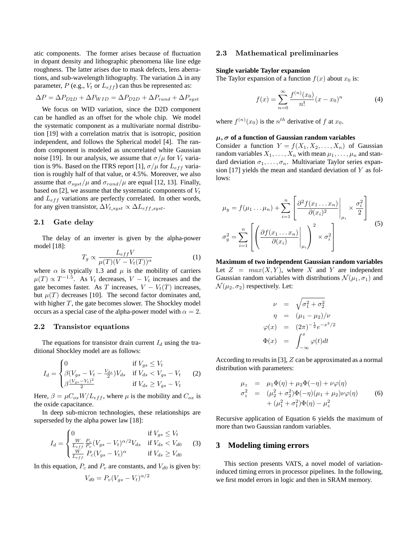atic components. The former arises because of fluctuation in dopant density and lithographic phenomena like line edge roughness. The latter arises due to mask defects, lens aberrations, and sub-wavelength lithography. The variation  $\Delta$  in any parameter,  $P$  (e.g.,  $V_t$  or  $L_{eff}$ ) can thus be represented as:

$$
\Delta P = \Delta P_{D2D} + \Delta P_{WID} = \Delta P_{D2D} + \Delta P_{rand} + \Delta P_{syst}
$$

We focus on WID variation, since the D2D component can be handled as an offset for the whole chip. We model the systematic component as a multivariate normal distribution [19] with a correlation matrix that is isotropic, position independent, and follows the Spherical model [4]. The random component is modeled as uncorrelated white Gaussian noise [19]. In our analysis, we assume that  $\sigma/\mu$  for  $V_t$  variation is 9%. Based on the ITRS report [1],  $\sigma/\mu$  for  $L_{eff}$  variation is roughly half of that value, or 4.5%. Moreover, we also assume that  $\sigma_{syst}/\mu$  and  $\sigma_{rand}/\mu$  are equal [12, 13]. Finally, based on [2], we assume that the systematic components of  $V_t$ and  $L_{eff}$  variations are perfectly correlated. In other words, for any given transistor,  $\Delta V_{t,syst} \propto \Delta L_{eff,syst}$ .

### 2.1 Gate delay

The delay of an inverter is given by the alpha-power model [18]:

$$
T_g \propto \frac{L_{eff} V}{\mu(T)(V - V_t(T))^\alpha} \tag{1}
$$

where  $\alpha$  is typically 1.3 and  $\mu$  is the mobility of carriers  $\mu(T) \propto T^{-1.5}$ . As  $V_t$  decreases,  $V - V_t$  increases and the gate becomes faster. As T increases,  $V - V_t(T)$  increases, but  $\mu(T)$  decreases [10]. The second factor dominates and, with higher  $T$ , the gate becomes slower. The Shockley model occurs as a special case of the alpha-power model with  $\alpha = 2$ .

#### 2.2 Transistor equations

The equations for transistor drain current  $I_d$  using the traditional Shockley model are as follows:

$$
I_d = \begin{cases} 0 & \text{if } V_{gs} \le V_t \\ \beta (V_{gs} - V_t - \frac{V_{ds}}{2}) V_{ds} & \text{if } V_{ds} < V_{gs} - V_t \\ \beta \frac{(V_{gs} - V_t)^2}{2} & \text{if } V_{ds} \ge V_{gs} - V_t \end{cases}
$$
 (2)

Here,  $\beta = \mu C_{ox} W / L_{eff}$ , where  $\mu$  is the mobility and  $C_{ox}$  is the oxide capacitance.

In deep sub-micron technologies, these relationships are superseded by the alpha power law [18]:

$$
I_d = \begin{cases} 0 & \text{if } V_{gs} \le V_t \\ \frac{W}{L_{eff}} \frac{P_c}{P_v} (V_{gs} - V_t)^{\alpha/2} V_{ds} & \text{if } V_{ds} < V_{d0} \\ \frac{W}{L_{eff}} \left( V_{gs} - V_t \right)^{\alpha} & \text{if } V_{ds} \ge V_{d0} \end{cases} \tag{3}
$$

In this equation,  $P_c$  and  $P_v$  are constants, and  $V_{d0}$  is given by:

$$
V_{d0} = P_v (V_{gs} - V_t)^{\alpha/2}
$$

#### 2.3 Mathematical preliminaries

#### **Single variable Taylor expansion**

The Taylor expansion of a function  $f(x)$  about  $x_0$  is:

$$
f(x) = \sum_{n=0}^{\infty} \frac{f^{(n)}(x_0)}{n!} (x - x_0)^n
$$
 (4)

where  $f^{(n)}(x_0)$  is the  $n^{th}$  derivative of f at  $x_0$ .

#### µ, σ **of a function of Gaussian random variables**

Consider a function  $Y = f(X_1, X_2, \ldots, X_n)$  of Gaussian random variables  $X_1, \ldots, X_n$  with mean  $\mu_1, \ldots, \mu_n$  and standard deviation  $\sigma_1, \ldots, \sigma_n$ . Multivariate Taylor series expansion [17] yields the mean and standard deviation of  $Y$  as follows:

$$
\mu_y = f(\mu_1 \dots \mu_n) + \sum_{i=1}^n \left[ \frac{\partial^2 f(x_1 \dots x_n)}{\partial (x_i)^2} \Big|_{\mu_i} \times \frac{\sigma_i^2}{2} \right]
$$

$$
\sigma_y^2 = \sum_{i=1}^n \left[ \left( \frac{\partial f(x_1 \dots x_n)}{\partial (x_i)} \Big|_{\mu_i} \right)^2 \times \sigma_i^2 \right]
$$
(5)

**Maximum of two independent Gaussian random variables** Let  $Z = max(X, Y)$ , where X and Y are independent Gaussian random variables with distributions  $\mathcal{N}(\mu_1, \sigma_1)$  and  $\mathcal{N}(\mu_2, \sigma_2)$  respectively. Let:

$$
\nu = \sqrt{\sigma_1^2 + \sigma_2^2}
$$
  
\n
$$
\eta = (\mu_1 - \mu_2)/\nu
$$
  
\n
$$
\varphi(x) = (2\pi)^{-\frac{1}{2}} e^{-x^2/2}
$$
  
\n
$$
\Phi(x) = \int_{-\infty}^x \varphi(t) dt
$$

According to results in [3], Z can be approximated as a normal distribution with parameters:

$$
\mu_z = \mu_1 \Phi(\eta) + \mu_2 \Phi(-\eta) + \nu \varphi(\eta) \n\sigma_z^2 = (\mu_2^2 + \sigma_2^2) \Phi(-\eta) (\mu_1 + \mu_2) \nu \varphi(\eta) \n+ (\mu_1^2 + \sigma_1^2) \Phi(\eta) - \mu_z^2
$$
\n(6)

Recursive application of Equation 6 yields the maximum of more than two Gaussian random variables.

## **3 Modeling timing errors**

This section presents VATS, a novel model of variationinduced timing errors in processor pipelines. In the following, we first model errors in logic and then in SRAM memory.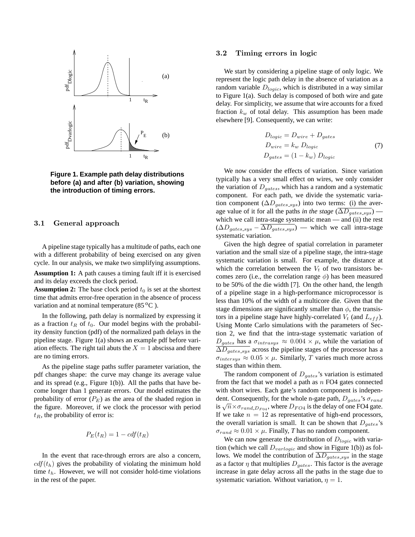

**Figure 1. Example path delay distributions before (a) and after (b) variation, showing the introduction of timing errors.**

## 3.1 General approach

A pipeline stage typically has a multitude of paths, each one with a different probability of being exercised on any given cycle. In our analysis, we make two simplifying assumptions.

**Assumption 1:** A path causes a timing fault iff it is exercised and its delay exceeds the clock period.

**Assumption 2:** The base clock period  $t_0$  is set at the shortest time that admits error-free operation in the absence of process variation and at nominal temperature  $(85\,^{\circ}\text{C})$ .

In the following, path delay is normalized by expressing it as a fraction  $t_R$  of  $t_0$ . Our model begins with the probability density function (pdf) of the normalized path delays in the pipeline stage. Figure 1(a) shows an example pdf before variation effects. The right tail abuts the  $X = 1$  abscissa and there are no timing errors.

As the pipeline stage paths suffer parameter variation, the pdf changes shape: the curve may change its average value and its spread (e.g., Figure 1(b)). All the paths that have become longer than 1 generate errors. Our model estimates the probability of error  $(P_E)$  as the area of the shaded region in the figure. Moreover, if we clock the processor with period  $t_R$ , the probability of error is:

$$
P_E(t_R) = 1 - cdf(t_R)
$$

In the event that race-through errors are also a concern,  $cdf(t_h)$  gives the probability of violating the minimum hold time  $t<sub>h</sub>$ . However, we will not consider hold-time violations in the rest of the paper.

#### 3.2 Timing errors in logic

We start by considering a pipeline stage of only logic. We represent the logic path delay in the absence of variation as a random variable  $D_{logic}$ , which is distributed in a way similar to Figure 1(a). Such delay is composed of both wire and gate delay. For simplicity, we assume that wire accounts for a fixed fraction  $k_w$  of total delay. This assumption has been made elsewhere [9]. Consequently, we can write:

$$
D_{logic} = D_{wire} + D_{gates}
$$
  
\n
$$
D_{wire} = k_w D_{logic}
$$
  
\n
$$
D_{gates} = (1 - k_w) D_{logic}
$$
\n(7)

We now consider the effects of variation. Since variation typically has a very small effect on wires, we only consider the variation of  $D_{aates}$ , which has a random and a systematic component. For each path, we divide the systematic variation component ( $\Delta D_{gates\_sys}$ ) into two terms: (i) the average value of it for all the paths *in the stage* ( $\overline{\Delta D_{gates\_sys}}$ ) which we call intra-stage systematic mean — and (ii) the rest  $(\Delta D_{gates.sys} - \overline{\Delta D_{gates.sys}})$  — which we call intra-stage systematic variation.

Given the high degree of spatial correlation in parameter variation and the small size of a pipeline stage, the intra-stage systematic variation is small. For example, the distance at which the correlation between the  $V_t$  of two transistors becomes zero (i.e., the correlation range  $\phi$ ) has been measured to be 50% of the die width [7]. On the other hand, the length of a pipeline stage in a high-performance microprocessor is less than 10% of the width of a multicore die. Given that the stage dimensions are significantly smaller than  $\phi$ , the transistors in a pipeline stage have highly-correlated  $V_t$  (and  $L_{eff}$ ). Using Monte Carlo simulations with the parameters of Section 2, we find that the intra-stage systematic variation of  $D_{gates}$  has a  $\sigma_{intrasys} \approx 0.004 \times \mu$ , while the variation of  $\Delta D_{gates,sys}$  across the pipeline stages of the processor has a  $\sigma_{intersys} \approx 0.05 \times \mu$ . Similarly, T varies much more across stages than within them.

The random component of  $D_{gates}$ 's variation is estimated from the fact that we model a path as  $n$  FO4 gates connected with short wires. Each gate's random component is independent. Consequently, for the whole n-gate path,  $D_{gates}$ 's  $\sigma_{rand}$ dent. Consequently, for the whole ii-gate path,  $D_{gate}$  s  $D_{rand}$ <br>is  $\sqrt{n} \times \sigma_{rand} D_{F04}$ , where  $D_{FO4}$  is the delay of one FO4 gate. If we take  $n = 12$  as representative of high-end processors, the overall variation is small. It can be shown that  $D_{aates}$ 's  $\sigma_{rand} \approx 0.01 \times \mu$ . Finally, *T* has no random component.

We can now generate the distribution of  $D_{logic}$  with variation (which we call  $D_{varlogic}$  and show in Figure 1(b)) as follows. We model the contribution of  $\overline{\Delta}D_{gates,sys}$  in the stage as a factor  $\eta$  that multiplies  $D_{gates}$ . This factor is the average increase in gate delay across all the paths in the stage due to systematic variation. Without variation,  $\eta = 1$ .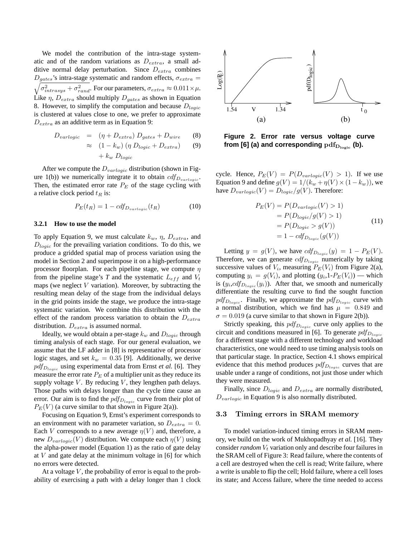We model the contribution of the intra-stage systematic and of the random variations as  $D_{extra}$ , a small additive normal delay perturbation. Since  $D_{extra}$  combines  $\sqrt{\sigma_{intrasys}^2 + \sigma_{rand}^2}$ . For our parameters,  $\sigma_{extra} \approx 0.011 \times \mu$ .  $D_{gates}$ 's intra-stage systematic and random effects,  $\sigma_{extra}$  = Like  $\eta$ ,  $D_{extra}$  should multiply  $D_{gates}$  as shown in Equation 8. However, to simplify the computation and because  $D_{loqic}$ is clustered at values close to one, we prefer to approximate  $D_{extra}$  as an additive term as in Equation 9:

$$
D_{varlogic} = (\eta + D_{extra}) D_{gates} + D_{wire}
$$
 (8)

$$
\approx (1 - k_w) (\eta \ D_{logic} + D_{extra}) \tag{9}
$$

$$
+ k_w \ D_{logic}
$$

After we compute the  $D_{variable}$  distribution (shown in Figure 1(b)) we numerically integrate it to obtain  $cdf_{D_{variable}}$ . Then, the estimated error rate  $P_E$  of the stage cycling with a relative clock period  $t_R$  is:

$$
P_E(t_R) = 1 - cdf_{D_{varlogic}}(t_R)
$$
\n(10)

## **3.2.1 How to use the model**

To apply Equation 9, we must calculate  $k_w$ ,  $\eta$ ,  $D_{extra}$ , and  $D_{logic}$  for the prevailing variation conditions. To do this, we produce a gridded spatial map of process variation using the model in Section 2 and superimpose it on a high-performance processor floorplan. For each pipeline stage, we compute  $\eta$ from the pipeline stage's  $T$  and the systematic  $L_{eff}$  and  $V_t$ maps (we neglect  $V$  variation). Moreover, by subtracting the resulting mean delay of the stage from the individual delays in the grid points inside the stage, we produce the intra-stage systematic variation. We combine this distribution with the effect of the random process variation to obtain the  $D_{extra}$ distribution.  $D_{extra}$  is assumed normal.

Ideally, we would obtain a per-stage  $k_w$  and  $D_{loqic}$  through timing analysis of each stage. For our general evaluation, we assume that the LF adder in [8] is representative of processor logic stages, and set  $k_w = 0.35$  [9]. Additionally, we derive  $pdf_{D_{logic}}$  using experimental data from Ernst *et al.* [6]. They measure the error rate  $P_E$  of a multiplier unit as they reduce its supply voltage  $V$ . By reducing  $V$ , they lengthen path delays. Those paths with delays longer than the cycle time cause an error. Our aim is to find the  $pdf_{D_{logic}}$  curve from their plot of  $P_E(V)$  (a curve similar to that shown in Figure 2(a)).

Focusing on Equation 9, Ernst's experiment corresponds to an environment with no parameter variation, so  $D_{extra} = 0$ . Each V corresponds to a new average  $\eta(V)$  and, therefore, a new  $D_{variable}(V)$  distribution. We compute each  $\eta(V)$  using the alpha-power model (Equation 1) as the ratio of gate delay at  $V$  and gate delay at the minimum voltage in [6] for which no errors were detected.

At a voltage  $V$ , the probability of error is equal to the probability of exercising a path with a delay longer than 1 clock



**Figure 2. Error rate versus voltage curve** from [6] (a) and corresponding  $pdf_{\text{D}_{\text{logic}}}$  (b).

cycle. Hence,  $P_E(V) = P(D_{variable}(V) > 1)$ . If we use Equation 9 and define  $g(V) = 1/(k_w + \eta(V) \times (1-k_w))$ , we have  $D_{variable}(V) = D_{logic}/g(V)$ . Therefore:

$$
P_E(V) = P(D_{variable}(V) > 1)
$$
  
=  $P(D_{logic}/g(V) > 1)$   
=  $P(D_{logic} > g(V))$   
=  $1 - cdf_{D_{logic}}(g(V))$  (11)

Letting  $y = g(V)$ , we have  $cdf_{D_{logic}}(y) = 1 - P_E(V)$ . Therefore, we can generate  $cdf_{D_{logic}}$  numerically by taking successive values of  $V_i$ , measuring  $P_E(V_i)$  from Figure 2(a), computing  $y_i = g(V_i)$ , and plotting  $(y_i, 1-P_E(V_i))$  — which is  $(y_i, cdf_{D_{logic}}(y_i))$ . After that, we smooth and numerically differentiate the resulting curve to find the sought function  $pdf_{D_{logic}}$ . Finally, we approximate the  $pdf_{D_{logic}}$  curve with a normal distribution, which we find has  $\mu = 0.849$  and  $\sigma = 0.019$  (a curve similar to that shown in Figure 2(b)).

Strictly speaking, this  $pdf_{D<sub>logic</sub>}$  curve only applies to the circuit and conditions measured in [6]. To generate  $pdf_{D<sub>looic</sub>}$ for a different stage with a different technology and workload characteristics, one would need to use timing analysis tools on that particular stage. In practice, Section 4.1 shows empirical evidence that this method produces  $pdf_{D_{logic}}$  curves that are usable under a range of conditions, not just those under which they were measured.

Finally, since  $D_{logic}$  and  $D_{extra}$  are normally distributed,  $D_{variable}$  in Equation 9 is also normally distributed.

#### 3.3 Timing errors in SRAM memory

To model variation-induced timing errors in SRAM memory, we build on the work of Mukhopadhyay *et al.* [16]. They consider  $random V_t$  variation only and describe four failures in the SRAM cell of Figure 3: Read failure, where the contents of a cell are destroyed when the cell is read; Write failure, where a write is unable to flip the cell; Hold failure, where a cell loses its state; and Access failure, where the time needed to access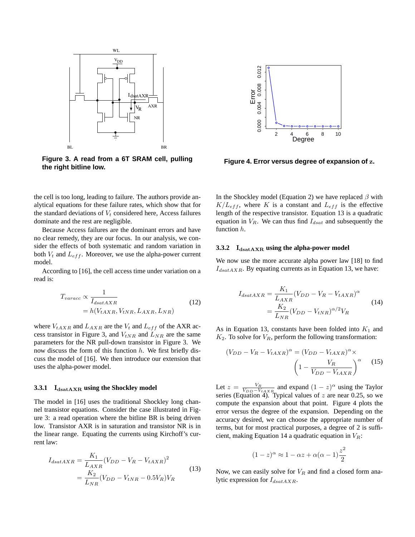

**Figure 3. A read from a 6T SRAM cell, pulling the right bitline low.**

the cell is too long, leading to failure. The authors provide analytical equations for these failure rates, which show that for the standard deviations of  $V_t$  considered here, Access failures dominate and the rest are negligible.

Because Access failures are the dominant errors and have no clear remedy, they are our focus. In our analysis, we consider the effects of both systematic and random variation in both  $V_t$  and  $L_{eff}$ . Moreover, we use the alpha-power current model.

According to [16], the cell access time under variation on a read is:

$$
T_{varacc} \propto \frac{1}{I_{dsatAXR}}
$$
  
=  $h(V_{tAXR}, V_{tNR}, L_{AXR}, L_{NR})$  (12)

where  $V_{tAXR}$  and  $L_{AXR}$  are the  $V_t$  and  $L_{eff}$  of the AXR access transistor in Figure 3, and  $V_{tNR}$  and  $L_{NR}$  are the same parameters for the NR pull-down transistor in Figure 3. We now discuss the form of this function  $h$ . We first briefly discuss the model of [16]. We then introduce our extension that uses the alpha-power model.

### **3.3.1** IdsatAXR using the Shockley model

The model in [16] uses the traditional Shockley long channel transistor equations. Consider the case illustrated in Figure 3: a read operation where the bitline BR is being driven low. Transistor AXR is in saturation and transistor NR is in the linear range. Equating the currents using Kirchoff's current law:

$$
I_{dsatAXR} = \frac{K_1}{L_{AXR}} (V_{DD} - V_R - V_{tAXR})^2
$$
  
= 
$$
\frac{K_2}{L_{NR}} (V_{DD} - V_{tNR} - 0.5V_R) V_R
$$
 (13)



**Figure 4. Error versus degree of expansion of** z**.**

In the Shockley model (Equation 2) we have replaced  $\beta$  with  $K/L_{eff}$ , where K is a constant and  $L_{eff}$  is the effective length of the respective transistor. Equation 13 is a quadratic equation in  $V_R$ . We can thus find  $I_{dsat}$  and subsequently the function h.

#### **3.3.2** I<sub>dsatAXR</sub> using the alpha-power model

We now use the more accurate alpha power law [18] to find  $I_{dsatAXR}$ . By equating currents as in Equation 13, we have:

$$
I_{dsatAXR} = \frac{K_1}{L_{AXR}} (V_{DD} - V_R - V_{tAXR})^{\alpha}
$$
  
= 
$$
\frac{K_2}{L_{NR}} (V_{DD} - V_{tNR})^{\alpha/2} V_R
$$
 (14)

As in Equation 13, constants have been folded into  $K_1$  and  $K_2$ . To solve for  $V_R$ , perform the following transformation:

$$
(V_{DD} - V_R - V_{tAXR})^{\alpha} = (V_{DD} - V_{tAXR})^{\alpha} \times \left(1 - \frac{V_R}{V_{DD} - V_{tAXR}}\right)^{\alpha}
$$
 (15)

Let  $z = \frac{V_R}{V_{DD}-V_{tAXR}}$  and expand  $(1-z)^{\alpha}$  using the Taylor series (Equation 4). Typical values of  $z$  are near 0.25, so we compute the expansion about that point. Figure 4 plots the error versus the degree of the expansion. Depending on the accuracy desired, we can choose the appropriate number of terms, but for most practical purposes, a degree of 2 is sufficient, making Equation 14 a quadratic equation in  $V_R$ :

$$
(1-z)^{\alpha} \approx 1 - \alpha z + \alpha(\alpha - 1)\frac{z^2}{2}
$$

Now, we can easily solve for  $V_R$  and find a closed form analytic expression for  $I_{dsatAXR}$ .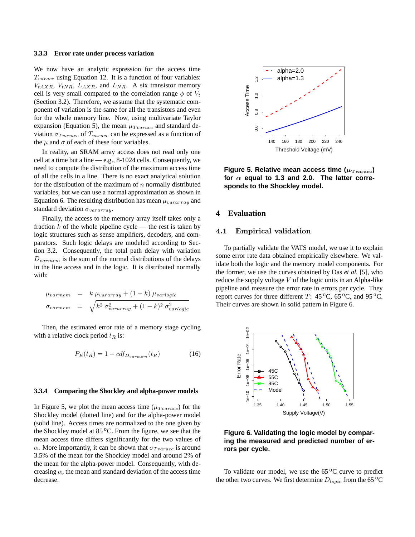#### **3.3.3 Error rate under process variation**

We now have an analytic expression for the access time  $T_{varacc}$  using Equation 12. It is a function of four variables:  $V_{tAXR}$ ,  $V_{tNR}$ ,  $L_{AXR}$ , and  $L_{NR}$ . A six transistor memory cell is very small compared to the correlation range  $\phi$  of  $V_t$ (Section 3.2). Therefore, we assume that the systematic component of variation is the same for all the transistors and even for the whole memory line. Now, using multivariate Taylor expansion (Equation 5), the mean  $\mu_{Tvaracc}$  and standard deviation  $\sigma_{Traracc}$  of  $T_{varacc}$  can be expressed as a function of the  $\mu$  and  $\sigma$  of each of these four variables.

In reality, an SRAM array access does not read only one cell at a time but a line — e.g., 8-1024 cells. Consequently, we need to compute the distribution of the maximum access time of all the cells in a line. There is no exact analytical solution for the distribution of the maximum of  $n$  normally distributed variables, but we can use a normal approximation as shown in Equation 6. The resulting distribution has mean  $\mu_{vararray}$  and standard deviation  $\sigma_{vararray}$ .

Finally, the access to the memory array itself takes only a fraction  $k$  of the whole pipeline cycle — the rest is taken by logic structures such as sense amplifiers, decoders, and comparators. Such logic delays are modeled according to Section 3.2. Consequently, the total path delay with variation  $D_{varmem}$  is the sum of the normal distributions of the delays in the line access and in the logic. It is distributed normally with:

$$
\mu_{varmem} = k \mu_{vararray} + (1 - k) \mu_{varlogic}
$$
  

$$
\sigma_{varmem} = \sqrt{k^2 \sigma_{vararray}^2 + (1 - k)^2 \sigma_{varlogic}^2}
$$

Then, the estimated error rate of a memory stage cycling with a relative clock period  $t_R$  is:

$$
P_E(t_R) = 1 - cdf_{D_{varmem}}(t_R)
$$
\n(16)

#### **3.3.4 Comparing the Shockley and alpha-power models**

In Figure 5, we plot the mean access time  $(\mu_{Trarace})$  for the Shockley model (dotted line) and for the alpha-power model (solid line). Access times are normalized to the one given by the Shockley model at  $85\,^{\circ}$ C. From the figure, we see that the mean access time differs significantly for the two values of  $\alpha$ . More importantly, it can be shown that  $\sigma_{Tvarace}$  is around 3.5% of the mean for the Shockley model and around 2% of the mean for the alpha-power model. Consequently, with decreasing  $\alpha$ , the mean and standard deviation of the access time decrease.



Figure 5. Relative mean access time  $(\mu_{\text{Truracc}})$ for  $\alpha$  equal to 1.3 and 2.0. The latter corre**sponds to the Shockley model.**

# **4 Evaluation**

# 4.1 Empirical validation

To partially validate the VATS model, we use it to explain some error rate data obtained empirically elsewhere. We validate both the logic and the memory model components. For the former, we use the curves obtained by Das *et al.* [5], who reduce the supply voltage  $V$  of the logic units in an Alpha-like pipeline and measure the error rate in errors per cycle. They report curves for three different T:  $45^{\circ}$ C,  $65^{\circ}$ C, and  $95^{\circ}$ C. Their curves are shown in solid pattern in Figure 6.



**Figure 6. Validating the logic model by comparing the measured and predicted number of errors per cycle.**

To validate our model, we use the  $65\,^{\circ}\text{C}$  curve to predict the other two curves. We first determine  $D_{logic}$  from the 65<sup>o</sup>C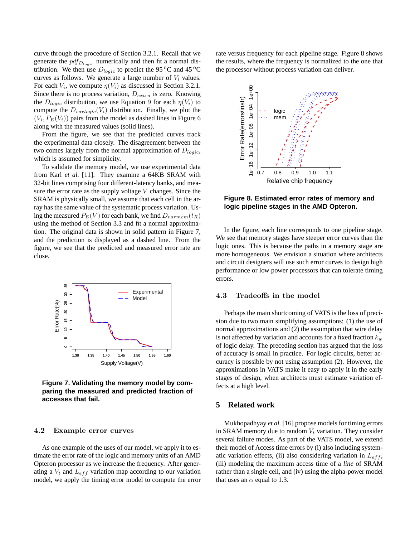curve through the procedure of Section 3.2.1. Recall that we generate the  $pdf_{D_{logic}}$  numerically and then fit a normal distribution. We then use  $D_{logic}$  to predict the 95 °C and 45 °C curves as follows. We generate a large number of  $V_i$  values. For each  $V_i$ , we compute  $\eta(V_i)$  as discussed in Section 3.2.1. Since there is no process variation,  $D_{extra}$  is zero. Knowing the  $D_{logic}$  distribution, we use Equation 9 for each  $\eta(V_i)$  to compute the  $D_{variable}(V_i)$  distribution. Finally, we plot the  $(V_i, P_E(V_i))$  pairs from the model as dashed lines in Figure 6 along with the measured values (solid lines).

From the figure, we see that the predicted curves track the experimental data closely. The disagreement between the two comes largely from the normal approximation of  $D_{logic}$ , which is assumed for simplicity.

To validate the memory model, we use experimental data from Karl *et al.* [11]. They examine a 64KB SRAM with 32-bit lines comprising four different-latency banks, and measure the error rate as the supply voltage  $V$  changes. Since the SRAM is physically small, we assume that each cell in the array has the same value of the systematic process variation. Using the measured  $P_E(V)$  for each bank, we find  $D_{varmem}(t_R)$ using the method of Section 3.3 and fit a normal approximation. The original data is shown in solid pattern in Figure 7, and the prediction is displayed as a dashed line. From the figure, we see that the predicted and measured error rate are close.



**Figure 7. Validating the memory model by comparing the measured and predicted fraction of accesses that fail.**

#### 4.2 Example error curves

As one example of the uses of our model, we apply it to estimate the error rate of the logic and memory units of an AMD Opteron processor as we increase the frequency. After generating a  $V_t$  and  $L_{eff}$  variation map according to our variation model, we apply the timing error model to compute the error rate versus frequency for each pipeline stage. Figure 8 shows the results, where the frequency is normalized to the one that the processor without process variation can deliver.



**Figure 8. Estimated error rates of memory and logic pipeline stages in the AMD Opteron.**

In the figure, each line corresponds to one pipeline stage. We see that memory stages have steeper error curves than the logic ones. This is because the paths in a memory stage are more homogeneous. We envision a situation where architects and circuit designers will use such error curves to design high performance or low power processors that can tolerate timing errors.

## 4.3 Tradeoffs in the model

Perhaps the main shortcoming of VATS is the loss of precision due to two main simplifying assumptions: (1) the use of normal approximations and (2) the assumption that wire delay is not affected by variation and accounts for a fixed fraction  $k_w$ of logic delay. The preceding section has argued that the loss of accuracy is small in practice. For logic circuits, better accuracy is possible by not using assumption (2). However, the approximations in VATS make it easy to apply it in the early stages of design, when architects must estimate variation effects at a high level.

## **5 Related work**

Mukhopadhyay *et al.* [16] propose models for timing errors in SRAM memory due to random  $V_t$  variation. They consider several failure modes. As part of the VATS model, we extend their model of Access time errors by (i) also including systematic variation effects, (ii) also considering variation in  $L_{eff}$ , (iii) modeling the maximum access time of a *line* of SRAM rather than a single cell, and (iv) using the alpha-power model that uses an  $\alpha$  equal to 1.3.